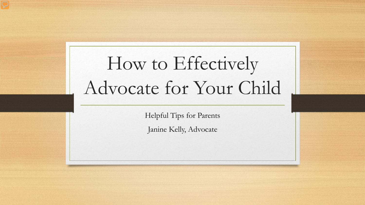# How to Effectively Advocate for Your Child

Helpful Tips for Parents

Janine Kelly, Advocate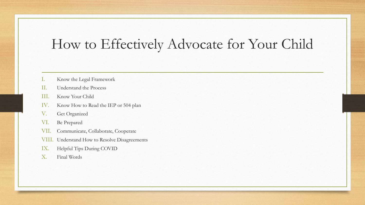## How to Effectively Advocate for Your Child

- I. Know the Legal Framework
- II. Understand the Process
- III. Know Your Child
- IV. Know How to Read the IEP or 504 plan
- V. Get Organized
- VI. Be Prepared
- VII. Communicate, Collaborate, Cooperate
- VIII. Understand How to Resolve Disagreements
- IX. Helpful Tips During COVID
- X. Final Words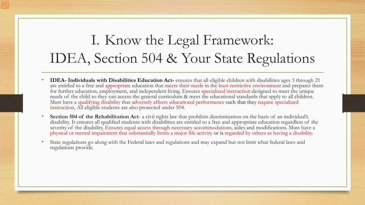## I. Know the Legal Framework: IDEA, Section 504 & Your State Regulations

- **IDEA- Individuals with Disabilities Education Act-** ensures that all eligible children with disabilities ages 3 through 21 are entitled to a free and appropriate education that meets their needs in the least restrictive environment and prepares them for further education, employment, and independent living. Ensures specialized instruction designed to meet the unique needs of the child so they can access the general curriculum & meet the educational standards that apply to all children. Must have a qualifying disability that adversely affects educational performance such that they require specialized instruction. All eligible students are also protected under 504.
- **Section 504 of the Rehabilitation Act** a civil rights law that prohibits discrimination on the basis of an individual's disability. It ensures all qualified students with disabilities are entitled to a free and appropriate education regardless of the severity of the disability. Ensures equal access through necessary accommodations, aides and modifications. Must have a physical or mental impairment that substantially limits a major life activity or is regarded by others as having a disability.
- State regulations go along with the Federal laws and regulations and may expand but not limit what federal laws and regulations provide.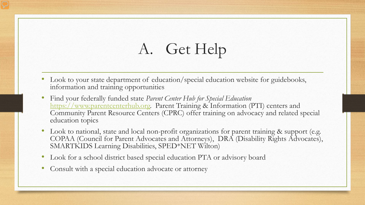# A. Get Help

- Look to your state department of education/special education website for guidebooks, information and training opportunities
- Find your federally funded state *Parent Center Hub for Special Education*  [https://www.parentcenterhub.org.](https://www.parentcenterhub.org/) Parent Training & Information (PTI) centers and Community Parent Resource Centers (CPRC) offer training on advocacy and related special education topics
- Look to national, state and local non-profit organizations for parent training & support (e.g. COPAA (Council for Parent Advocates and Attorneys), DRA (Disability Rights Advocates), SMARTKIDS Learning Disabilities, SPED\*NET Wilton)
- Look for a school district based special education PTA or advisory board
- Consult with a special education advocate or attorney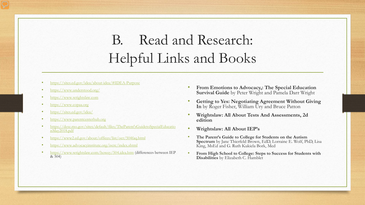## B. Read and Research: Helpful Links and Books

- [https://sites.ed.gov/idea/about-idea/#IDEA-Purpose](https://www.understood.org/)
- <https://www.understood.org/>
- [https://www.wrightslaw.com](https://www.wrightslaw.com/)
- [https://www.copaa.org](https://www.copaa.org/)
- <https://sites.ed.gov/idea/>
- [https://www.parentcenterhub.org](https://www.parentcenterhub.org/)
- [https://dese.mo.gov/sites/default/files/TheParent'sGuidetoSpecialEducatio](https://dese.mo.gov/sites/default/files/TheParent) nMay2018.pdf
- <https://www2.ed.gov/about/offices/list/ocr/504faq.html>
- <https://www.advocacyinstitute.org/iscrc/index.shtml>
- <https://www.wrightslaw.com/howey/504.idea.htm> (differences between IEP & 504)
- **From Emotions to Advocacy,: The Special Education Survival Guide** by Peter Wright and Pamela Darr Wright
- **Getting to Yes: Negotiating Agreement Without Giving In** by Roger Fisher, William Ury and Bruce Patton
- **Wrightslaw: All About Tests And Assessments, 2d edition**
- **Wrightslaw: All About IEP's**
- **The Parent's Guide to College for Students on the Autism Spectrum** by Jane Thierfeld Brown, EdD, Lorraine E. Wolf, PhD, Lisa King, MsEd and G. Ruth Kukiela Bork, Med
- **From High School to College: Steps to Success for Students with Disabilities** by Elizabeth C. Hamblet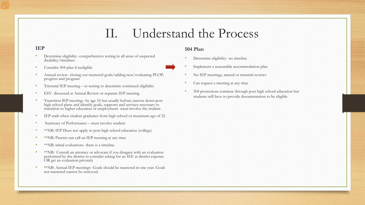## II. Understand the Process

#### **IEP**

- Determine eligibility- comprehensive testing in all areas of suspected disability/timelines
- Consider 504 plan if ineligible
- Annual review- closing out mastered goals/adding new/evaluating PLOP, progress and program
- Triennial IEP meeting re-testing to determine continued eligibility
- ESY- discussed at Annual Review or separate IEP meeting
- Transition IEP meeting– by age 16 but usually before; narrow down post high school plans and identify goals, supports and services necessary to transition to higher education or employment- must involve the student
- IEP ends when student graduates from high school or maximum age of 22
- Summary of Performance must involve student
- \*\*NB: IEP Does not apply to post high school education (college)
- \*\*NB: Parents can call an IEP meeting at any time
- \*\*NB: initial evaluations- there is a timeline.
- \*\*NB: Consult an attorney or advocate if you disagree with an evaluation performed by the district to consider asking for an IEE at district expense OR get an evaluation privately
- \*\*NB: Annual IEP meetings- Goals should be mastered in one year. Goals not mastered cannot be removed.

#### **504 Plan**

- Determine eligibility- no timeline
- Implement a reasonable accommodation plan
- No IEP meetings, annual or triennial reviews
- Can request a meeting at any time
- 504 protections continue through post high school education but students will have to provide documentation to be eligible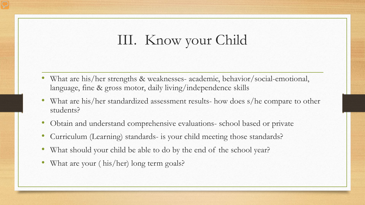## III. Know your Child

- What are his/her strengths & weaknesses- academic, behavior/social-emotional, language, fine & gross motor, daily living/independence skills
- What are his/her standardized assessment results- how does s/he compare to other students?
- Obtain and understand comprehensive evaluations- school based or private
- Curriculum (Learning) standards- is your child meeting those standards?
- What should your child be able to do by the end of the school year?
- What are your (his/her) long term goals?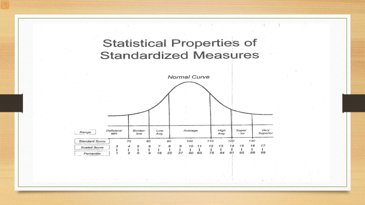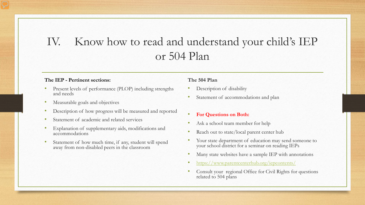## IV. Know how to read and understand your child's IEP or 504 Plan

### **The IEP - Pertinent sections:**

- Present levels of performance (PLOP) including strengths and needs
- Measurable goals and objectives
- Description of how progress will be measured and reported
- Statement of academic and related services
- Explanation of supplementary aids, modifications and accommodations
- Statement of how much time, if any, student will spend away from non-disabled peers in the classroom

#### **The 504 Plan**

- Description of disability
- Statement of accommodations and plan
- **For Questions on Both:**
- Ask a school team member for help
- Reach out to state/local parent center hub
- Your state department of education may send someone to your school district for a seminar on reading IEPs
- Many state websites have a sample IEP with annotations
- <https://www.parentcenterhub.org/iepcontents/>
- Consult your regional Office for Civil Rights for questions related to 504 plans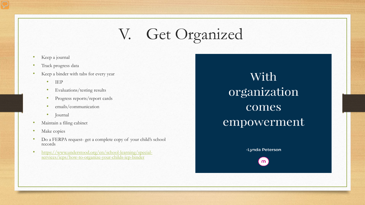# V. Get Organized

- Keep a journal
- Track progress data
- Keep a binder with tabs for every year
	- IEP
	- Evaluations/testing results
	- Progress reports/report cards
	- emails/communication
	- Journal
- Maintain a filing cabinet
- Make copies
- Do a FERPA request- get a complete copy of your child's school records
- [https://www.understood.org/en/school-learning/special-](https://www.understood.org/en/school-learning/special-services/ieps/how-to-organize-your-childs-iep-binder) services/ieps/how-to-organize-your-childs-iep-binder

With organization comes empowerment

-Lynda Peterson

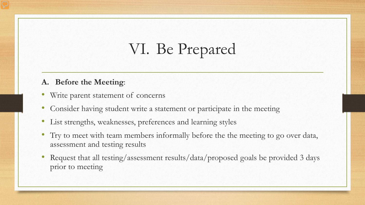# VI. Be Prepared

### **A. Before the Meeting**:

- Write parent statement of concerns
- Consider having student write a statement or participate in the meeting
- List strengths, weaknesses, preferences and learning styles
- Try to meet with team members informally before the the meeting to go over data, assessment and testing results
- Request that all testing/assessment results/data/proposed goals be provided 3 days prior to meeting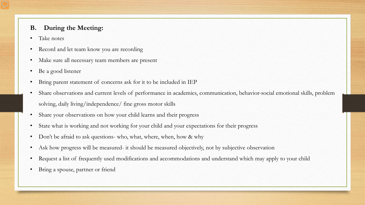### **B. During the Meeting:**

- Take notes
- Record and let team know you are recording
- Make sure all necessary team members are present
- Be a good listener
- Bring parent statement of concerns ask for it to be included in IEP
- Share observations and current levels of performance in academics, communication, behavior-social emotional skills, problem solving, daily living/independence/ fine gross motor skills
- Share your observations on how your child learns and their progress
- State what is working and not working for your child and your expectations for their progress
- Don't be afraid to ask questions- who, what, where, when, how & why
- Ask how progress will be measured- it should be measured objectively, not by subjective observation
- Request a list of frequently used modifications and accommodations and understand which may apply to your child
- Bring a spouse, partner or friend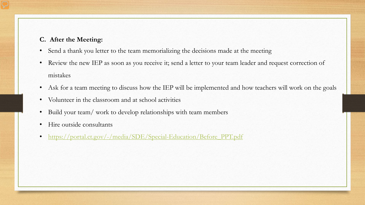### **C. After the Meeting:**

- Send a thank you letter to the team memorializing the decisions made at the meeting
- Review the new IEP as soon as you receive it; send a letter to your team leader and request correction of mistakes
- Ask for a team meeting to discuss how the IEP will be implemented and how teachers will work on the goals
- Volunteer in the classroom and at school activities
- Build your team/ work to develop relationships with team members
- Hire outside consultants
- [https://portal.ct.gov/-/media/SDE/Special-Education/Before\\_PPT.pdf](https://portal.ct.gov/-/media/SDE/Special-Education/Before_PPT.pdf)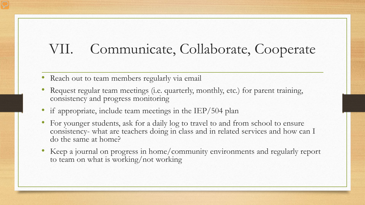## VII. Communicate, Collaborate, Cooperate

- Reach out to team members regularly via email
- Request regular team meetings (i.e. quarterly, monthly, etc.) for parent training, consistency and progress monitoring
- if appropriate, include team meetings in the  $IEP/504$  plan
- For younger students, ask for a daily log to travel to and from school to ensure consistency- what are teachers doing in class and in related services and how can I do the same at home?
- Keep a journal on progress in home/community environments and regularly report to team on what is working/not working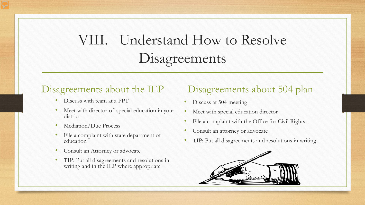## VIII. Understand How to Resolve **Disagreements**

### Disagreements about the IEP

- Discuss with team at a PPT
- Meet with director of special education in your district
- Mediation/Due Process
- File a complaint with state department of education
- Consult an Attorney or advocate
- TIP: Put all disagreements and resolutions in writing and in the IEP where appropriate

### Disagreements about 504 plan

- Discuss at 504 meeting
- Meet with special education director
- File a complaint with the Office for Civil Rights
- Consult an attorney or advocate
- TIP: Put all disagreements and resolutions in writing

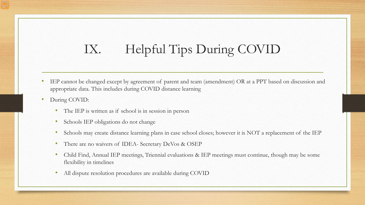## IX. Helpful Tips During COVID

- IEP cannot be changed except by agreement of parent and team (amendment) OR at a PPT based on discussion and appropriate data. This includes during COVID distance learning
- During COVID:
	- The IEP is written as if school is in session in person
	- Schools IEP obligations do not change
	- Schools may create distance learning plans in case school closes; however it is NOT a replacement of the IEP
	- There are no waivers of IDEA- Secretary DeVos & OSEP
	- Child Find, Annual IEP meetings, Triennial evaluations & IEP meetings must continue, though may be some flexibility in timelines
	- All dispute resolution procedures are available during COVID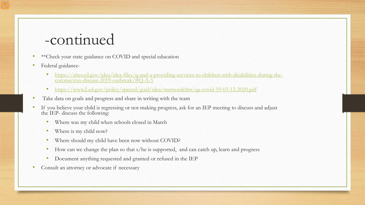## -continued

- \*\*Check your state guidance on COVID and special education
- Federal guidance-
	- [https://sites.ed.gov/idea/idea-files/q-and-a-providing-services-to-children-with-disabilities-during-the-](https://sites.ed.gov/idea/idea-files/q-and-a-providing-services-to-children-with-disabilities-during-the-coronavirus-disease-2019-outbreak/#Q-A-5https://www2.ed.gov/policy/speced/guid/idea/memosdcltrs/qa-covid-19-03-12-2020.pdf) coronavirus-disease-2019-outbreak/#Q-A-5
	- [https://www2.ed.gov/policy/speced/guid/idea/memosdcltrs/qa-covid-19-03-12-2020.pdf](https://sites.ed.gov/idea/idea-files/q-and-a-providing-services-to-children-with-disabilities-during-the-coronavirus-disease-2019-outbreak/#Q-A-5https://www2.ed.gov/policy/speced/guid/idea/memosdcltrs/qa-covid-19-03-12-2020.pdf)
- Take data on goals and progress and share in writing with the team
- If you believe your child is regressing or not making progress, ask for an IEP meeting to discuss and adjust the IEP- discuss the following:
	- Where was my child when schools closed in March
	- Where is my child now?
	- Where should my child have been now without COVID?
	- How can we change the plan so that s/he is supported, and can catch up, learn and progress
	- Document anything requested and granted or refused in the IEP
- Consult an attorney or advocate if necessary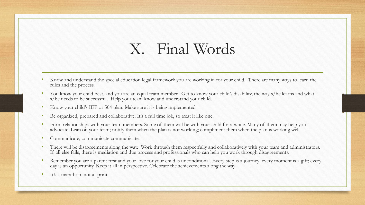## X. Final Words

- Know and understand the special education legal framework you are working in for your child. There are many ways to learn the rules and the process.
- You know your child best, and you are an equal team member. Get to know your child's disability, the way s/he learns and what s/he needs to be successful. Help your team know and understand your child.
- Know your child's IEP or 504 plan. Make sure it is being implemented
- Be organized, prepared and collaborative. It's a full time job, so treat it like one.
- Form relationships with your team members. Some of them will be with your child for a while. Many of them may help you advocate. Lean on your team; notify them when the plan is not working; compliment them when the plan is working well.
- Communicate, communicate communicate.
- There will be disagreements along the way. Work through them respectfully and collaboratively with your team and administrators.<br>If all else fails, there is mediation and due process and professionals who can help you wo
- Remember you are a parent first and your love for your child is unconditional. Every step is a journey; every moment is a gift; every day is an opportunity. Keep it all in perspective. Celebrate the achievements along the way
- It's a marathon, not a sprint.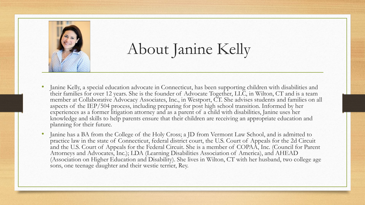

## About Janine Kelly

- Janine Kelly, a special education advocate in Connecticut, has been supporting children with disabilities and their families for over 12 years. She is the founder of Advocate Together, LLC, in Wilton, CT and is a team member at Collaborative Advocacy Associates, Inc., in Westport, CT. She advises students and families on all aspects of the IEP/504 process, including preparing for post high school transition. Informed by her experiences as a former litigation attorney and as a parent of a child with disabilities, Janine uses her knowledge and skills to help parents ensure that their children are receiving an appropriate education and planning for their future.
- Janine has a BA from the College of the Holy Cross; a JD from Vermont Law School, and is admitted to practice law in the state of Connecticut, federal district court, the U.S. Court of Appeals for the 2d Circuit and the U.S. Court of Appeals for the Federal Circuit. She is a member of COPAA, Inc. (Council for Parent Attorneys and Advocates, Inc.); LDA (Learning Disabilities Association of America), and AHEAD (Association on Higher Education and Disability). She lives in Wilton, CT with her husband, two college age sons, one teenage daughter and their westie terrier, Rey.